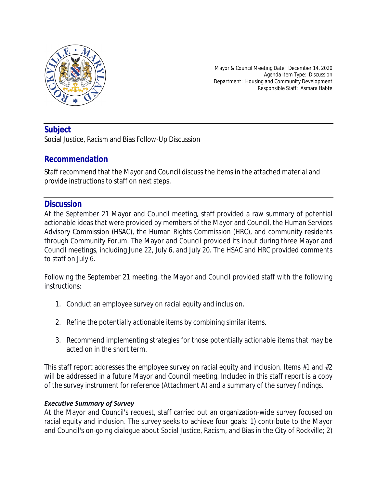

Mayor & Council Meeting Date: December 14, 2020 Agenda Item Type: Discussion Department: Housing and Community Development Responsible Staff: Asmara Habte

# **Subject**

Social Justice, Racism and Bias Follow-Up Discussion

## **Recommendation**

Staff recommend that the Mayor and Council discuss the items in the attached material and provide instructions to staff on next steps.

# **Discussion**

At the September 21 Mayor and Council meeting, staff provided a raw summary of potential actionable ideas that were provided by members of the Mayor and Council, the Human Services Advisory Commission (HSAC), the Human Rights Commission (HRC), and community residents through Community Forum. The Mayor and Council provided its input during three Mayor and Council meetings, including June 22, July 6, and July 20. The HSAC and HRC provided comments to staff on July 6.

Following the September 21 meeting, the Mayor and Council provided staff with the following instructions:

- 1. Conduct an employee survey on racial equity and inclusion.
- 2. Refine the potentially actionable items by combining similar items.
- 3. Recommend implementing strategies for those potentially actionable items that may be acted on in the short term.

This staff report addresses the employee survey on racial equity and inclusion. Items #1 and #2 will be addressed in a future Mayor and Council meeting. Included in this staff report is a copy of the survey instrument for reference (Attachment A) and a summary of the survey findings.

### *Executive Summary of Survey*

At the Mayor and Council's request, staff carried out an organization-wide survey focused on racial equity and inclusion. The survey seeks to achieve four goals: 1) contribute to the Mayor and Council's on-going dialogue about Social Justice, Racism, and Bias in the City of Rockville; 2)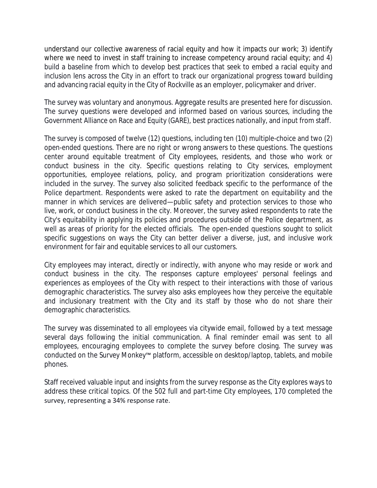understand our collective awareness of racial equity and how it impacts our work; 3) identify where we need to invest in staff training to increase competency around racial equity; and 4) build a baseline from which to develop best practices that seek to embed a racial equity and inclusion lens across the City in an effort to track our organizational progress toward building and advancing racial equity in the City of Rockville as an employer, policymaker and driver.

The survey was voluntary and anonymous. Aggregate results are presented here for discussion. The survey questions were developed and informed based on various sources, including the Government Alliance on Race and Equity (GARE), best practices nationally, and input from staff.

The survey is composed of twelve (12) questions, including ten (10) multiple-choice and two (2) open-ended questions. There are no right or wrong answers to these questions. The questions center around equitable treatment of City employees, residents, and those who work or conduct business in the city. Specific questions relating to City services, employment opportunities, employee relations, policy, and program prioritization considerations were included in the survey. The survey also solicited feedback specific to the performance of the Police department. Respondents were asked to rate the department on equitability and the manner in which services are delivered—public safety and protection services to those who live, work, or conduct business in the city. Moreover, the survey asked respondents to rate the City's equitability in applying its policies and procedures outside of the Police department, as well as areas of priority for the elected officials. The open-ended questions sought to solicit specific suggestions on ways the City can better deliver a diverse, just, and inclusive work environment for fair and equitable services to all our customers.

City employees may interact, directly or indirectly, with anyone who may reside or work and conduct business in the city. The responses capture employees' personal feelings and experiences as employees of the City with respect to their interactions with those of various demographic characteristics. The survey also asks employees how they perceive the equitable and inclusionary treatment with the City and its staff by those who do not share their demographic characteristics.

The survey was disseminated to all employees via citywide email, followed by a text message several days following the initial communication. A final reminder email was sent to all employees, encouraging employees to complete the survey before closing. The survey was conducted on the Survey Monkey™ platform, accessible on desktop/laptop, tablets, and mobile phones.

Staff received valuable input and insights from the survey response as the City explores ways to address these critical topics. Of the 502 full and part-time City employees, 170 completed the survey, representing a 34% response rate.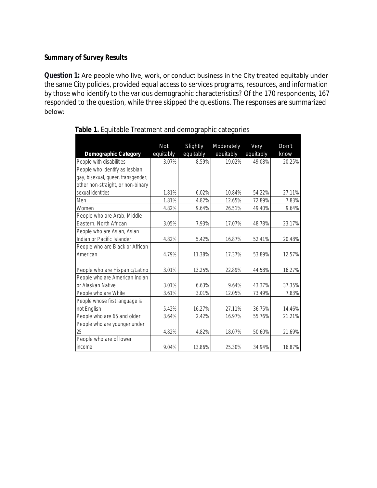### *Summary of Survey Results*

**Question 1:** Are people who live, work, or conduct business in the City treated equitably under the same City policies, provided equal access to services programs, resources, and information by those who identify to the various demographic characteristics? Of the 170 respondents, 167 responded to the question, while three skipped the questions. The responses are summarized below:

|                                    | Not       | Slightly  | Moderately | Very      | Don't  |  |
|------------------------------------|-----------|-----------|------------|-----------|--------|--|
| <b>Demographic Category</b>        | equitably | equitably | equitably  | equitably | know   |  |
| People with disabilities           | 3.07%     | 8.59%     | 19.02%     | 49.08%    | 20.25% |  |
| People who identify as lesbian,    |           |           |            |           |        |  |
| gay, bisexual, queer, transgender, |           |           |            |           |        |  |
| other non-straight, or non-binary  |           |           |            |           |        |  |
| sexual identities                  | 1.81%     | 6.02%     | 10.84%     | 54.22%    | 27.11% |  |
| Men                                | 1.81%     | 4.82%     | 12.65%     | 72.89%    | 7.83%  |  |
| Women                              | 4.82%     | 9.64%     | 26.51%     | 49.40%    | 9.64%  |  |
| People who are Arab, Middle        |           |           |            |           |        |  |
| Eastern, North African             | 3.05%     | 7.93%     | 17.07%     | 48.78%    | 23.17% |  |
| People who are Asian, Asian        |           |           |            |           |        |  |
| Indian or Pacific Islander         | 4.82%     | 5.42%     | 16.87%     | 52.41%    | 20.48% |  |
| People who are Black or African    |           |           |            |           |        |  |
| American                           | 4.79%     | 11.38%    | 17.37%     | 53.89%    | 12.57% |  |
|                                    |           |           |            |           |        |  |
| People who are Hispanic/Latino     | 3.01%     | 13.25%    | 22.89%     | 44.58%    | 16.27% |  |
| People who are American Indian     |           |           |            |           |        |  |
| or Alaskan Native                  | 3.01%     | 6.63%     | 9.64%      | 43.37%    | 37.35% |  |
| People who are White               | 3.61%     | 3.01%     | 12.05%     | 73.49%    | 7.83%  |  |
| People whose first language is     |           |           |            |           |        |  |
| not English                        | 5.42%     | 16.27%    | 27.11%     | 36.75%    | 14.46% |  |
| People who are 65 and older        | 3.64%     | 2.42%     | 16.97%     | 55.76%    | 21.21% |  |
| People who are younger under       |           |           |            |           |        |  |
| 25                                 | 4.82%     | 4.82%     | 18.07%     | 50.60%    | 21.69% |  |
| People who are of lower            |           |           |            |           |        |  |
| income                             | 9.04%     | 13.86%    | 25.30%     | 34.94%    | 16.87% |  |

 **Table 1.** Equitable Treatment and demographic categories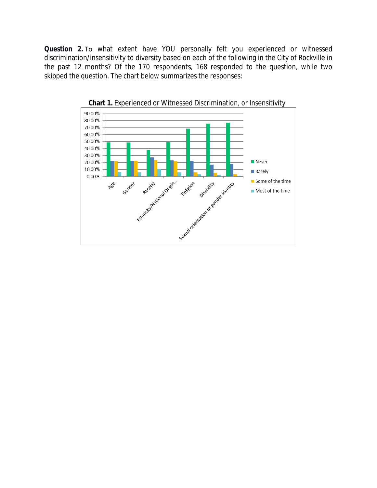**Question 2.** To what extent have YOU personally felt you experienced or witnessed discrimination/insensitivity to diversity based on each of the following in the City of Rockville in the past 12 months? Of the 170 respondents, 168 responded to the question, while two skipped the question. The chart below summarizes the responses:



**Chart 1.** Experienced or Witnessed Discrimination, or Insensitivity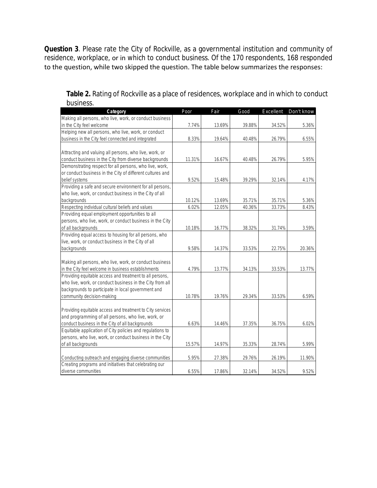**Question 3**. Please rate the City of Rockville, as a governmental institution and community of residence, workplace, or in which to conduct business. Of the 170 respondents, 168 responded to the question, while two skipped the question. The table below summarizes the responses:

| Category                                                  | Poor   | Fair   | Good   | Excellent | Don't know |
|-----------------------------------------------------------|--------|--------|--------|-----------|------------|
| Making all persons, who live, work, or conduct business   |        |        |        |           |            |
| in the City feel welcome                                  | 7.74%  | 13.69% | 39.88% | 34.52%    | 5.36%      |
| Helping new all persons, who live, work, or conduct       |        |        |        |           |            |
| business in the City feel connected and integrated        | 8.33%  | 19.64% | 40.48% | 26.79%    | 6.55%      |
|                                                           |        |        |        |           |            |
| Attracting and valuing all persons, who live, work, or    |        |        |        |           |            |
| conduct business in the City from diverse backgrounds     | 11.31% | 16.67% | 40.48% | 26.79%    | 5.95%      |
| Demonstrating respect for all persons, who live, work,    |        |        |        |           |            |
| or conduct business in the City of different cultures and |        |        |        |           |            |
| belief systems                                            | 9.52%  | 15.48% | 39.29% | 32.14%    | 4.17%      |
| Providing a safe and secure environment for all persons,  |        |        |        |           |            |
| who live, work, or conduct business in the City of all    |        |        |        |           |            |
| backgrounds                                               | 10.12% | 13.69% | 35.71% | 35.71%    | 5.36%      |
| Respecting individual cultural beliefs and values         | 6.02%  | 12.05% | 40.36% | 33.73%    | 8.43%      |
| Providing equal employment opportunities to all           |        |        |        |           |            |
| persons, who live, work, or conduct business in the City  |        |        |        |           |            |
| of all backgrounds                                        | 10.18% | 16.77% | 38.32% | 31.74%    | 3.59%      |
| Providing equal access to housing for all persons, who    |        |        |        |           |            |
| live, work, or conduct business in the City of all        |        |        |        |           |            |
| backgrounds                                               | 9.58%  | 14.37% | 33.53% | 22.75%    | 20.36%     |
|                                                           |        |        |        |           |            |
| Making all persons, who live, work, or conduct business   |        |        |        |           |            |
| in the City feel welcome in business establishments       | 4.79%  | 13.77% | 34.13% | 33.53%    | 13.77%     |
| Providing equitable access and treatment to all persons,  |        |        |        |           |            |
| who live, work, or conduct business in the City from all  |        |        |        |           |            |
| backgrounds to participate in local government and        |        |        |        |           |            |
| community decision-making                                 | 10.78% | 19.76% | 29.34% | 33.53%    | 6.59%      |
|                                                           |        |        |        |           |            |
| Providing equitable access and treatment to City services |        |        |        |           |            |
| and programming of all persons, who live, work, or        |        |        |        |           |            |
| conduct business in the City of all backgrounds           | 6.63%  | 14.46% | 37.35% | 36.75%    | 6.02%      |
| Equitable application of City policies and regulations to |        |        |        |           |            |
| persons, who live, work, or conduct business in the City  |        |        |        |           |            |
| of all backgrounds                                        | 15.57% | 14.97% | 35.33% | 28.74%    | 5.99%      |
|                                                           |        |        |        |           |            |
| Conducting outreach and engaging diverse communities      | 5.95%  | 27.38% | 29.76% | 26.19%    | 11.90%     |
| Creating programs and initiatives that celebrating our    |        |        |        |           |            |
| diverse communities                                       | 6.55%  | 17.86% | 32.14% | 34.52%    | 9.52%      |

**Table 2.** Rating of Rockville as a place of residences, workplace and in which to conduct business.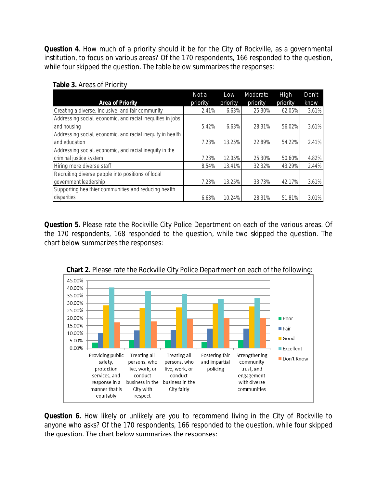**Question 4**. How much of a priority should it be for the City of Rockville, as a governmental institution, to focus on various areas? Of the 170 respondents, 166 responded to the question, while four skipped the question. The table below summarizes the responses:

| <b>Area of Priority</b>                                    | Not a<br>priority | Low<br>priority | Moderate<br>priority | High<br>priority | Don't<br>know |
|------------------------------------------------------------|-------------------|-----------------|----------------------|------------------|---------------|
| Creating a diverse, inclusive, and fair community          | 2.41%             | 6.63%           | 25.30%               | 62.05%           | 3.61%         |
| Addressing social, economic, and racial inequities in jobs |                   |                 |                      |                  |               |
| and housing                                                | 5.42%             | 6.63%           | 28.31%               | 56.02%           | 3.61%         |
| Addressing social, economic, and racial inequity in health |                   |                 |                      |                  |               |
| and education                                              | 7.23%             | 13.25%          | 22.89%               | 54.22%           | 2.41%         |
| Addressing social, economic, and racial inequity in the    |                   |                 |                      |                  |               |
| criminal justice system                                    | 7.23%             | 12.05%          | 25.30%               | 50.60%           | 4.82%         |
| Hiring more diverse staff                                  | 8.54%             | 13.41%          | 32.32%               | 43.29%           | 2.44%         |
| Recruiting diverse people into positions of local          |                   |                 |                      |                  |               |
| government leadership                                      | 7.23%             | 13.25%          | 33.73%               | 42.17%           | 3.61%         |
| Supporting healthier communities and reducing health       |                   |                 |                      |                  |               |
| disparities                                                | 6.63%             | 10.24%          | 28.31%               | 51.81%           | 3.01%         |

**Question 5.** Please rate the Rockville City Police Department on each of the various areas. Of the 170 respondents, 168 responded to the question, while two skipped the question. The chart below summarizes the responses:



**Chart 2.** Please rate the Rockville City Police Department on each of the following:

**Question 6.** How likely or unlikely are you to recommend living in the City of Rockville to anyone who asks? Of the 170 respondents, 166 responded to the question, while four skipped the question. The chart below summarizes the responses: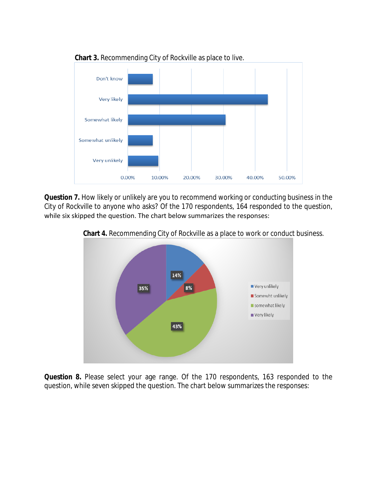

 **Chart 3.** Recommending City of Rockville as place to live.

**Question 7.** How likely or unlikely are you to recommend working or conducting business in the City of Rockville to anyone who asks? Of the 170 respondents, 164 responded to the question, while six skipped the question. The chart below summarizes the responses:



 **Chart 4.** Recommending City of Rockville as a place to work or conduct business.

**Question 8.** Please select your age range. Of the 170 respondents, 163 responded to the question, while seven skipped the question. The chart below summarizes the responses: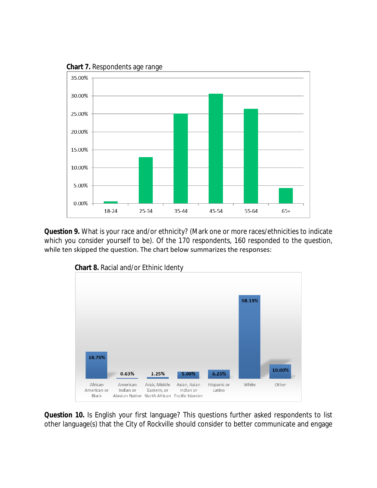

**Chart 7.** Respondents age range

**Question 9.** What is your race and/or ethnicity? (Mark one or more races/ethnicities to indicate which you consider yourself to be). Of the 170 respondents, 160 responded to the question, while ten skipped the question. The chart below summarizes the responses:



 **Chart 8.** Racial and/or Ethinic Identy

**Question 10.** Is English your first language? This questions further asked respondents to list other language(s) that the City of Rockville should consider to better communicate and engage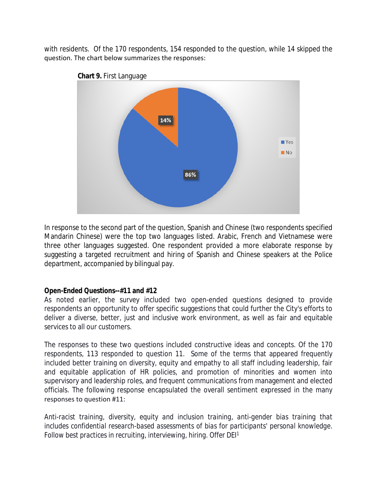with residents. Of the 170 respondents, 154 responded to the question, while 14 skipped the question. The chart below summarizes the responses:



In response to the second part of the question, Spanish and Chinese (two respondents specified Mandarin Chinese) were the top two languages listed. Arabic, French and Vietnamese were three other languages suggested. One respondent provided a more elaborate response by suggesting a targeted recruitment and hiring of Spanish and Chinese speakers at the Police department, accompanied by bilingual pay.

### **Open-Ended Questions--#11 and #12**

As noted earlier, the survey included two open-ended questions designed to provide respondents an opportunity to offer specific suggestions that could further the City's efforts to deliver a diverse, better, just and inclusive work environment, as well as fair and equitable services to all our customers.

The responses to these two questions included constructive ideas and concepts. Of the 170 respondents, 113 responded to question 11. Some of the terms that appeared frequently included better training on diversity, equity and empathy to all staff including leadership, fair and equitable application of HR policies, and promotion of minorities and women into supervisory and leadership roles, and frequent communications from management and elected officials. The following response encapsulated the overall sentiment expressed in the many responses to question #11:

*Anti-racist training, diversity, equity and inclusion training, anti-gender bias training that includes confidential research-based assessments of bias for participants' personal knowledge. Follow best practices in recruiting, interviewing, hiring. Offer DEI1*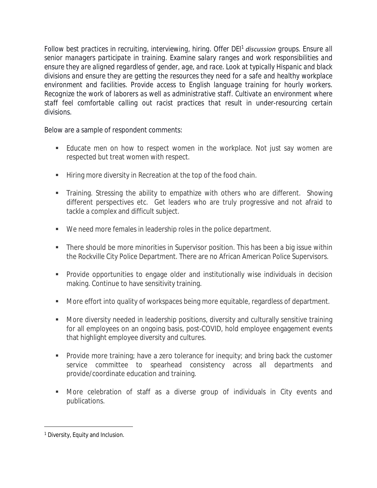*Follow best practices in recruiting, interviewing, hiring. Offer DEI<sup>1</sup> discussion groups. Ensure all senior managers participate in training. Examine salary ranges and work responsibilities and ensure they are aligned regardless of gender, age, and race. Look at typically Hispanic and black divisions and ensure they are getting the resources they need for a safe and healthy workplace environment and facilities. Provide access to English language training for hourly workers. Recognize the work of laborers as well as administrative staff. Cultivate an environment where staff feel comfortable calling out racist practices that result in under-resourcing certain divisions.*

Below are a sample of respondent comments:

- **Educate men on how to respect women in the workplace. Not just say women are** respected but treat women with respect.
- **Hiring more diversity in Recreation at the top of the food chain.**
- Training. Stressing the ability to empathize with others who are different. Showing different perspectives etc. Get leaders who are truly progressive and not afraid to tackle a complex and difficult subject.
- We need more females in leadership roles in the police department.
- There should be more minorities in Supervisor position. This has been a big issue within the Rockville City Police Department. There are no African American Police Supervisors.
- Provide opportunities to engage older and institutionally wise individuals in decision making. Continue to have sensitivity training.
- **More effort into quality of workspaces being more equitable, regardless of department.**
- More diversity needed in leadership positions, diversity and culturally sensitive training for all employees on an ongoing basis, post-COVID, hold employee engagement events that highlight employee diversity and cultures.
- **Provide more training; have a zero tolerance for inequity; and bring back the customer** service committee to spearhead consistency across all departments and provide/coordinate education and training.
- More celebration of staff as a diverse group of individuals in City events and publications.

<sup>&</sup>lt;sup>1</sup> Diversity, Equity and Inclusion.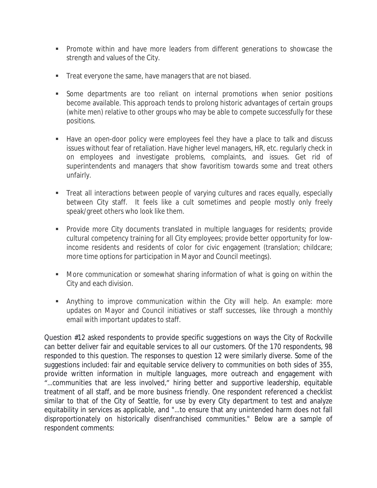- Promote within and have more leaders from different generations to showcase the strength and values of the City.
- **Treat everyone the same, have managers that are not biased.**
- Some departments are too reliant on internal promotions when senior positions become available. This approach tends to prolong historic advantages of certain groups (white men) relative to other groups who may be able to compete successfully for these positions.
- Have an open-door policy were employees feel they have a place to talk and discuss issues without fear of retaliation. Have higher level managers, HR, etc. regularly check in on employees and investigate problems, complaints, and issues. Get rid of superintendents and managers that show favoritism towards some and treat others unfairly.
- Treat all interactions between people of varying cultures and races equally, especially between City staff. It feels like a cult sometimes and people mostly only freely speak/greet others who look like them.
- Provide more City documents translated in multiple languages for residents; provide cultural competency training for all City employees; provide better opportunity for lowincome residents and residents of color for civic engagement (translation; childcare; more time options for participation in Mayor and Council meetings).
- More communication or somewhat sharing information of what is going on within the City and each division.
- Anything to improve communication within the City will help. An example: more updates on Mayor and Council initiatives or staff successes, like through a monthly email with important updates to staff.

Question #12 asked respondents to provide specific suggestions on ways the City of Rockville can better deliver fair and equitable services to all our customers. Of the 170 respondents, 98 responded to this question. The responses to question 12 were similarly diverse. Some of the suggestions included: fair and equitable service delivery to communities on both sides of 355, provide written information in multiple languages, more outreach and engagement with "…communities that are less involved," hiring better and supportive leadership, equitable treatment of all staff, and be more business friendly. One respondent referenced a checklist similar to that of the City of Seattle, for use by every City department to test and analyze equitability in services as applicable, and "…to ensure that any unintended harm does not fall disproportionately on historically disenfranchised communities." Below are a sample of respondent comments: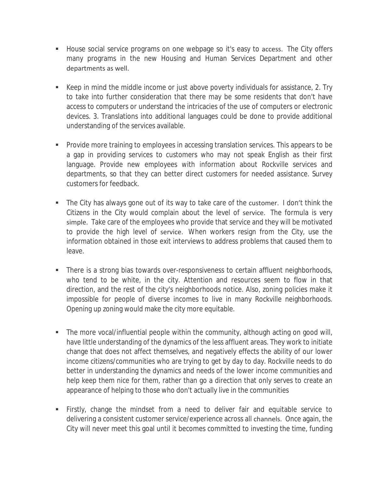- House social service programs on one webpage so it's easy to access. The City offers many programs in the new Housing and Human Services Department and other departments as well.
- Keep in mind the middle income or just above poverty individuals for assistance, 2. Try to take into further consideration that there may be some residents that don't have access to computers or understand the intricacies of the use of computers or electronic devices. 3. Translations into additional languages could be done to provide additional understanding of the services available.
- **Provide more training to employees in accessing translation services. This appears to be** a gap in providing services to customers who may not speak English as their first language. Provide new employees with information about Rockville services and departments, so that they can better direct customers for needed assistance. Survey customers for feedback.
- The City has always gone out of its way to take care of the customer. I don't think the Citizens in the City would complain about the level of service. The formula is very simple. Take care of the employees who provide that service and they will be motivated to provide the high level of service. When workers resign from the City, use the information obtained in those exit interviews to address problems that caused them to leave.
- There is a strong bias towards over-responsiveness to certain affluent neighborhoods, who tend to be white, in the city. Attention and resources seem to flow in that direction, and the rest of the city's neighborhoods notice. Also, zoning policies make it impossible for people of diverse incomes to live in many Rockville neighborhoods. Opening up zoning would make the city more equitable.
- The more vocal/influential people within the community, although acting on good will, have little understanding of the dynamics of the less affluent areas. They work to initiate change that does not affect themselves, and negatively effects the ability of our lower income citizens/communities who are trying to get by day to day. Rockville needs to do better in understanding the dynamics and needs of the lower income communities and help keep them nice for them, rather than go a direction that only serves to create an appearance of helping to those who don't actually live in the communities
- Firstly, change the mindset from a need to deliver fair and equitable service to delivering a consistent customer service/experience across all channels. Once again, the City will never meet this goal until it becomes committed to investing the time, funding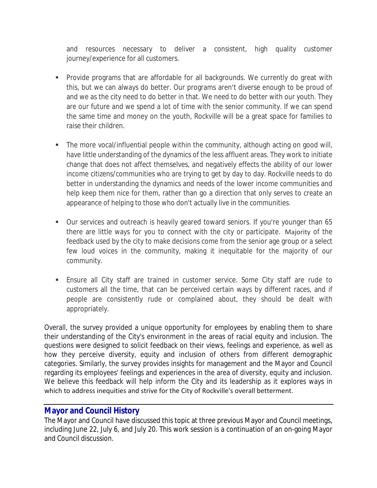and resources necessary to deliver a consistent, high quality customer journey/experience for all customers.

- **Provide programs that are affordable for all backgrounds. We currently do great with** this, but we can always do better. Our programs aren't diverse enough to be proud of and we as the city need to do better in that. We need to do better with our youth. They are our future and we spend a lot of time with the senior community. If we can spend the same time and money on the youth, Rockville will be a great space for families to raise their children.
- The more vocal/influential people within the community, although acting on good will, have little understanding of the dynamics of the less affluent areas. They work to initiate change that does not affect themselves, and negatively effects the ability of our lower income citizens/communities who are trying to get by day to day. Rockville needs to do better in understanding the dynamics and needs of the lower income communities and help keep them nice for them, rather than go a direction that only serves to create an appearance of helping to those who don't actually live in the communities.
- Our services and outreach is heavily geared toward seniors. If you're younger than 65 there are little ways for you to connect with the city or participate. Majority of the feedback used by the city to make decisions come from the senior age group or a select few loud voices in the community, making it inequitable for the majority of our community.
- Ensure all City staff are trained in customer service. Some City staff are rude to customers all the time, that can be perceived certain ways by different races, and if people are consistently rude or complained about, they should be dealt with appropriately.

Overall, the survey provided a unique opportunity for employees by enabling them to share their understanding of the City's environment in the areas of racial equity and inclusion. The questions were designed to solicit feedback on their views, feelings and experience, as well as how they perceive diversity, equity and inclusion of others from different demographic categories. Similarly, the survey provides insights for management and the Mayor and Council regarding its employees' feelings and experiences in the area of diversity, equity and inclusion. We believe this feedback will help inform the City and its leadership as it explores ways in which to address inequities and strive for the City of Rockville's overall betterment.

## **Mayor and Council History**

The Mayor and Council have discussed this topic at three previous Mayor and Council meetings, including June 22, July 6, and July 20. This work session is a continuation of an on-going Mayor and Council discussion.